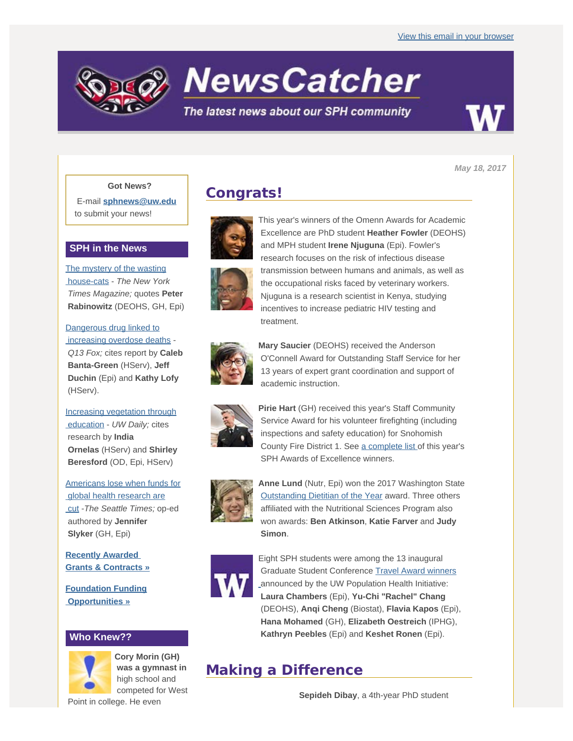

# **NewsCatcher**

## The latest news about our SPH community



*May 18, 2017*

### **Got News?**

E-mail **[sphnews@uw.edu](mailto:sphnews@uw.edu)** to submit your news!

#### **SPH in the News**

[The mystery of the wasting](http://engage.washington.edu/site/R?i=YcZu1XR5_BM07jrrFTYq7w)  [house-cats](http://engage.washington.edu/site/R?i=YcZu1XR5_BM07jrrFTYq7w) - *The New York Times Magazine;* quotes **Peter Rabinowitz** (DEOHS, GH, Epi)

[Dangerous drug linked to](http://engage.washington.edu/site/R?i=c8Vluxe0ggOqbrrJXQ9uFw)  [increasing overdose deaths](http://engage.washington.edu/site/R?i=c8Vluxe0ggOqbrrJXQ9uFw) -

 *Q13 Fox;* cites report by **Caleb Banta-Green** (HServ), **Jeff Duchin** (Epi) and **Kathy Lofy** (HServ).

[Increasing vegetation through](http://engage.washington.edu/site/R?i=SYVW6AoBZKeyOhNilQWO4Q)  [education](http://engage.washington.edu/site/R?i=SYVW6AoBZKeyOhNilQWO4Q) - *UW Daily;* cites research by **India Ornelas** (HServ) and **Shirley Beresford** (OD, Epi, HServ)

[Americans lose when funds for](http://engage.washington.edu/site/R?i=w_2fjKfRk1RJM0SIVQ7b2A)  [global health research are](http://engage.washington.edu/site/R?i=w_2fjKfRk1RJM0SIVQ7b2A)  [cut](http://engage.washington.edu/site/R?i=w_2fjKfRk1RJM0SIVQ7b2A) -*The Seattle Times;* op-ed authored by **Jennifer Slyker** (GH, Epi)

**[Recently Awarded](http://engage.washington.edu/site/R?i=sLqsLoE55vjhlYVwZpv3-A)  [Grants & Contracts »](http://engage.washington.edu/site/R?i=sLqsLoE55vjhlYVwZpv3-A)**

**[Foundation Funding](http://engage.washington.edu/site/R?i=j-aaC-vXDP3v5PzgTf0Dxw)  [Opportunities »](http://engage.washington.edu/site/R?i=j-aaC-vXDP3v5PzgTf0Dxw)**

## **Who Knew??**



**Cory Morin (GH) was a gymnast in** high school and competed for West

Point in college. He even

# **Congrats!**



This year's winners of the Omenn Awards for Academic Excellence are PhD student **Heather Fowler** (DEOHS) and MPH student **Irene Njuguna** (Epi). Fowler's research focuses on the risk of infectious disease transmission between humans and animals, as well as the occupational risks faced by veterinary workers. Njuguna is a research scientist in Kenya, studying incentives to increase pediatric HIV testing and treatment.



**Mary Saucier** (DEOHS) received the Anderson O'Connell Award for Outstanding Staff Service for her 13 years of expert grant coordination and support of academic instruction.



**Pirie Hart (GH) received this year's Staff Community**  Service Award for his volunteer firefighting (including inspections and safety education) for Snohomish County Fire District 1. See [a complete list](http://engage.washington.edu/site/R?i=J-oYJKcC_JbOBvcJVYS_PQ) of this year's SPH Awards of Excellence winners.



**Anne Lund** (Nutr, Epi) won the 2017 Washington State [Outstanding Dietitian of the Year](http://engage.washington.edu/site/R?i=0pGn7jm0Rkl79bgnvZB7lg) award. Three others affiliated with the Nutritional Sciences Program also won awards: **Ben Atkinson**, **Katie Farver** and **Judy Simon**.



Eight SPH students were among the 13 inaugural Graduate Student Conference [Travel Award winners](http://engage.washington.edu/site/R?i=9SNjfST-N5e1bhl7VQAFcA) announced by the UW Population Health Initiative: **Laura Chambers** (Epi), **Yu-Chi "Rachel" Chang** (DEOHS), **Anqi Cheng** (Biostat), **Flavia Kapos** (Epi), **Hana Mohamed** (GH), **Elizabeth Oestreich** (IPHG), **Kathryn Peebles** (Epi) and **Keshet Ronen** (Epi).

# **Making a Difference**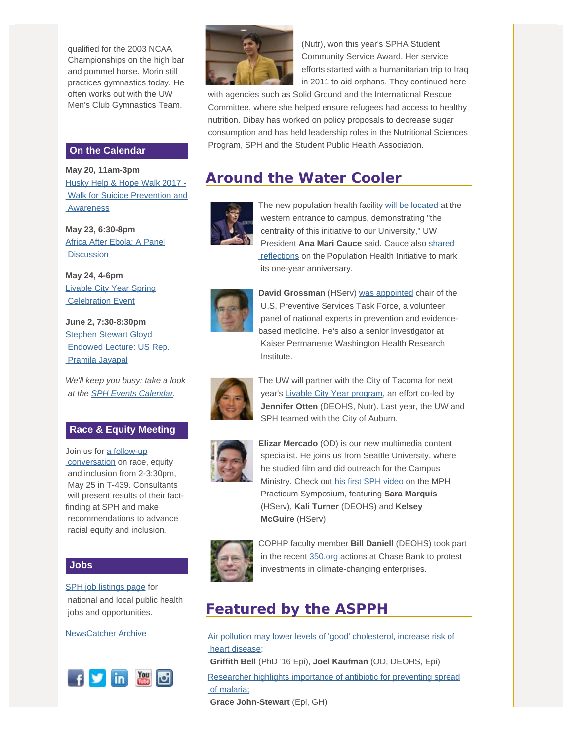qualified for the 2003 NCAA Championships on the high bar and pommel horse. Morin still practices gymnastics today. He often works out with the UW Men's Club Gymnastics Team.

#### **On the Calendar**

**May 20, 11am-3pm** [Husky Help & Hope Walk 2017 -](http://engage.washington.edu/site/R?i=9DEsJGA_PiRRSr06k-PqRw)  [Walk for Suicide Prevention and](http://engage.washington.edu/site/R?i=9DEsJGA_PiRRSr06k-PqRw) **Awareness** 

**May 23, 6:30-8pm** [Africa After Ebola: A Panel](http://engage.washington.edu/site/R?i=m1_3bAdKWVeiYEcuNnDxGQ) **Discussion** 

**May 24, 4-6pm** [Livable City Year Spring](http://engage.washington.edu/site/R?i=TsDZNmvfHFeq8PNo8NqY1g)  [Celebration Event](http://engage.washington.edu/site/R?i=TsDZNmvfHFeq8PNo8NqY1g)

**June 2, 7:30-8:30pm** [Stephen Stewart Gloyd](http://engage.washington.edu/site/R?i=UM6ySZKDTlfcu7v6tvO2aw)  [Endowed Lecture: US Rep.](http://engage.washington.edu/site/R?i=UM6ySZKDTlfcu7v6tvO2aw)  [Pramila Jayapal](http://engage.washington.edu/site/R?i=UM6ySZKDTlfcu7v6tvO2aw)

*We'll keep you busy: take a look at the [SPH Events Calendar](http://engage.washington.edu/site/R?i=kCIHQiUWtYmK8NLDl7Z6Eg).*

#### **Race & Equity Meeting**

Join us for [a follow-up](http://engage.washington.edu/site/R?i=uyqOfacdRtoOXbqjDLmcww)  [conversation](http://engage.washington.edu/site/R?i=uyqOfacdRtoOXbqjDLmcww) on race, equity and inclusion from 2-3:30pm, May 25 in T-439. Consultants will present results of their factfinding at SPH and make recommendations to advance racial equity and inclusion.

#### **Jobs**

[SPH job listings page](http://engage.washington.edu/site/R?i=aKupqCvGibXf24bPaHDX-w) for national and local public health jobs and opportunities.

[NewsCatcher Archive](http://engage.washington.edu/site/R?i=8n7n6G2YPMpHFe1sR2EjmA)





 (Nutr), won this year's SPHA Student Community Service Award. Her service efforts started with a humanitarian trip to Iraq in 2011 to aid orphans. They continued here

 with agencies such as Solid Ground and the International Rescue Committee, where she helped ensure refugees had access to healthy nutrition. Dibay has worked on policy proposals to decrease sugar consumption and has held leadership roles in the Nutritional Sciences Program, SPH and the Student Public Health Association.

# **Around the Water Cooler**



The new population health facility [will be located](http://engage.washington.edu/site/R?i=jRUh_qCoobSiBFIqvUmZbA) at the western entrance to campus, demonstrating "the centrality of this initiative to our University," UW President **Ana Mari Cauce** said. Cauce also [shared](http://engage.washington.edu/site/R?i=MPhZ7LZ5Cbx3h4jJ7y0ymA) reflections on the Population Health Initiative to mark its one-year anniversary.



**David Grossman** (HServ) [was appointed](http://engage.washington.edu/site/R?i=lbkCdpNki1hripgyGdXGyw) chair of the U.S. Preventive Services Task Force, a volunteer panel of national experts in prevention and evidencebased medicine. He's also a senior investigator at Kaiser Permanente Washington Health Research Institute.



The UW will partner with the City of Tacoma for next year's [Livable City Year program](http://engage.washington.edu/site/R?i=ZkRZib0hQaZbHu2ARksEAw), an effort co-led by **Jennifer Otten** (DEOHS, Nutr). Last year, the UW and SPH teamed with the City of Auburn.



**Elizar Mercado** (OD) is our new multimedia content specialist. He joins us from Seattle University, where he studied film and did outreach for the Campus Ministry. Check out [his first SPH video](http://engage.washington.edu/site/R?i=_VQXy16qyBlxDxrGal7P0A) on the MPH Practicum Symposium, featuring **Sara Marquis** (HServ), **Kali Turner** (DEOHS) and **Kelsey McGuire** (HServ).



COPHP faculty member **Bill Daniell** (DEOHS) took part in the recent [350.org](http://engage.washington.edu/site/R?i=CEIHyI2p6t6HJfmOY0u-TA) actions at Chase Bank to protest investments in climate-changing enterprises.

# **Featured by the ASPPH**

[Air pollution may lower levels of 'good' cholesterol, increase risk of](http://engage.washington.edu/site/R?i=LPUx4EE-7iMqox4Xwem2HA)  [heart disease](http://engage.washington.edu/site/R?i=LPUx4EE-7iMqox4Xwem2HA); **Griffith Bell** (PhD '16 Epi), **Joel Kaufman** (OD, DEOHS, Epi) [Researcher highlights importance of antibiotic for preventing spread](http://engage.washington.edu/site/R?i=MKflzORDWOHBrPwh7d6Q9g)  [of malaria;](http://engage.washington.edu/site/R?i=MKflzORDWOHBrPwh7d6Q9g) **Grace John-Stewart** (Epi, GH)